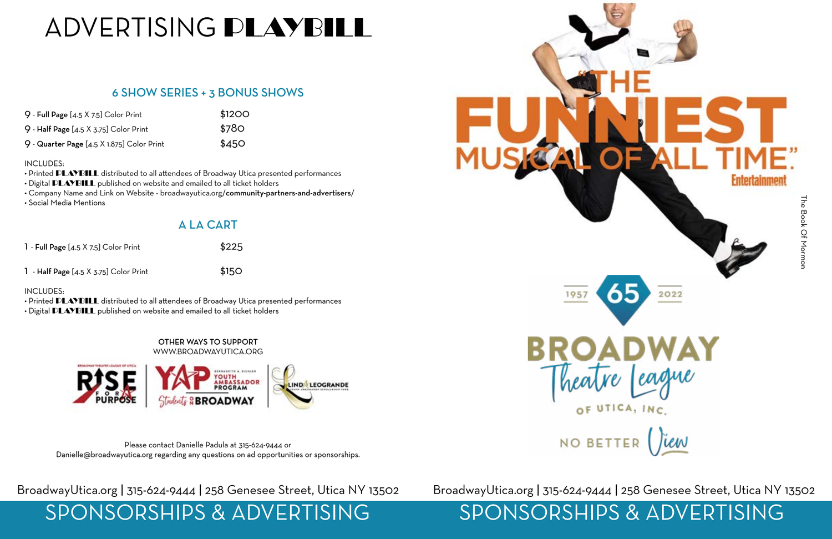| $9$ - Full Page $[4.5 \times 7.5]$ Color Print  | \$1200 |
|-------------------------------------------------|--------|
| $9$ - Half Page [4.5 $\times$ 3.75] Color Print | \$780  |
| 9 - Quarter Page [4.5 X 1.875] Color Print      | \$450  |

### INCLUDES:

- Printed PLAYBILL distributed to all attendees of Broadway Utica presented performances
- Digital **PLAYBILL** published on website and emailed to all ticket holders
- Company Name and Link on Website broadwayutica.org/community-partners-and-advertisers/
- Social Media Mentions

| 1 - Full Page [4.5 X 7.5] Color Print | \$225 |
|---------------------------------------|-------|
|                                       |       |

1 - Half Page  $[4.5 \times 3.75]$  Color Print  $$150$ 

### INCLUDES:

• Printed **PLAYBILL** distributed to all attendees of Broadway Utica presented performances • Digital **PLAYBILL** published on website and emailed to all ticket holders

### 6 SHOW SERIES + 3 BONUS SHOWS

### A LA CART

Please contact Danielle Padula at 315-624-9444 or Danielle@broadwayutica.org regarding any questions on ad opportunities or sponsorships.

OTHER WAYS TO SUPPORT WWW.BROADWAYUTICA.ORG



## BroadwayUtica.org | 315-624-9444 | 258 Genesee Street, Utica NY 13502 BroadwayUtica.org | 315-624-9444 | 258 Genesee Street, Utica NY 13502

# SPONSORSHIPS & ADVERTISING<br>SPONSORSHIPS & ADVERTISING

# ADVERTISING PLAYBILL